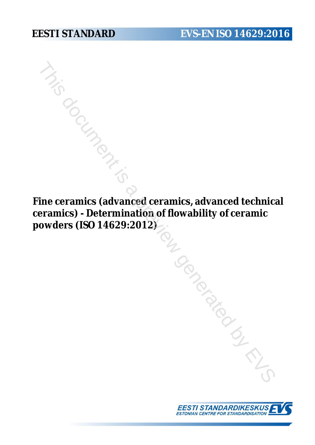**Find Contract of Contract Contract Contract Contract Contract Contract Contract Contract Contract Contract Contract Contract Contract Contract Contract Contract Contract Contract Contract Contract Contract Contract Contra ceramics) - Determination of flowability of ceramic powders (ISO 14629:2012)** TRIS DOCKS IS A PROCESS IN

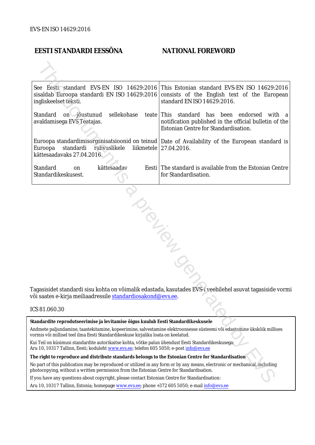## **EESTI STANDARDI EESSÕNA NATIONAL FOREWORD**

| See Eesti standard EVS-EN ISO 14629:2016<br>ingliskeelset teksti.                                                                                                                                                      | This Estonian standard EVS-EN ISO 14629:2016<br>sisaldab Euroopa standardi EN ISO 14629:2016 consists of the English text of the European<br>standard EN ISO 14629:2016. |
|------------------------------------------------------------------------------------------------------------------------------------------------------------------------------------------------------------------------|--------------------------------------------------------------------------------------------------------------------------------------------------------------------------|
| Standard<br>sellekohase<br>on jõustunud<br>avaldamisega EVS Teatajas.                                                                                                                                                  | teate This standard has been endorsed<br>with a<br>notification published in the official bulletin of the<br>Estonian Centre for Standardisation.                        |
| Euroopa<br>standardi<br>rahvuslikele<br>kättesaadavaks 27.04.2016.                                                                                                                                                     | Euroopa standardimisorganisatsioonid on teinud   Date of Availability of the European standard is<br>liikmetele   27.04.2016.                                            |
| Standard<br>kättesaadav<br>on<br>Standardikeskusest.                                                                                                                                                                   | Eesti The standard is available from the Estonian Centre<br>for Standardisation.                                                                                         |
| või saates e-kirja meiliaadressile standardiosakond@evs.ee.                                                                                                                                                            | Tagasisidet standardi sisu kohta on võimalik edastada, kasutades EVS-i veebilehel asuvat tagasiside vormi                                                                |
| ICS 81.060.30                                                                                                                                                                                                          |                                                                                                                                                                          |
| Standardite reprodutseerimise ja levitamise õigus kuulub Eesti Standardikeskusele                                                                                                                                      |                                                                                                                                                                          |
| Andmete paljundamine, taastekitamine, kopeerimine, salvestamine elektroonsesse süsteemi või edastamine ükskõik millises<br>vormis või millisel teel ilma Eesti Standardikeskuse kirjaliku loata on keelatud.           |                                                                                                                                                                          |
| Kui Teil on küsimusi standardite autorikaitse kohta, võtke palun ühendust Eesti Standardikeskusega:<br>Aru 10, 10317 Tallinn, Eesti; koduleht www.evs.ee; telefon 605 5050; e-post info@evs.ee                         |                                                                                                                                                                          |
| The right to reproduce and distribute standards belongs to the Estonian Centre for Standardisation                                                                                                                     |                                                                                                                                                                          |
| No part of this publication may be reproduced or utilized in any form or by any means, electronic or mechanical, including<br>photocopying, without a written permission from the Estonian Centre for Standardisation. |                                                                                                                                                                          |
| If you have any questions about copyright, please contact Estonian Centre for Standardisation:                                                                                                                         |                                                                                                                                                                          |
|                                                                                                                                                                                                                        |                                                                                                                                                                          |

### ICS 81.060.30

Aru 10, 10317 Tallinn, Estonia; homepage [www.evs.ee](http://www.evs.ee/); phone +372 605 5050; e-mail info@evs.ee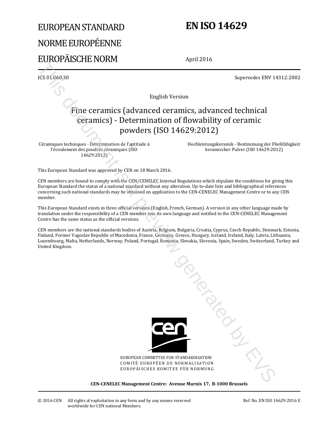# EUROPEAN STANDARD NORME EUROPÉENNE EUROPÄISCHE NORM

# **EN ISO 14629**

April 2016

ICS 81.060.30 Supersedes ENV 14312:2002

English Version

## Fine ceramics (advanced ceramics, advanced technical ceramics) - Determination of flowability of ceramic powders (ISO 14629:2012)

Céramiques techniques - Détermination de l'aptitude à l'écoulement des poudres céramiques (ISO 14629:2012)

 Hochleistungskeramik - Bestimmung der Fließfähigkeit keramischer Pulver (ISO 14629:2012)

This European Standard was approved by CEN on 18 March 2016.

CEN members are bound to comply with the CEN/CENELEC Internal Regulations which stipulate the conditions for giving this European Standard the status of a national standard without any alteration. Up-to-date lists and bibliographical references concerning such national standards may be obtained on application to the CEN-CENELEC Management Centre or to any CEN member.

This European Standard exists in three official versions (English, French, German). A version in any other language made by translation under the responsibility of a CEN member into its own language and notified to the CEN-CENELEC Management Centre has the same status as the official versions.

CEN members are the national standards bodies of Austria, Belgium, Bulgaria, Croatia, Cyprus, Czech Republic, Denmark, Estonia, Finland, Former Yugoslav Republic of Macedonia, France, Germany, Greece, Hungary, Iceland, Ireland, Italy, Latvia, Lithuania, Luxembourg, Malta, Netherlands, Norway, Poland, Portugal, Romania, Slovakia, Slovenia, Spain, Sweden, Switzerland, Turkey and United Kingdom.



EUROPEAN COMMITTEE FOR STANDARDIZATION COMITÉ EUROPÉEN DE NORMALISATION EUROPÄISCHES KOMITEE FÜR NORMUNG This document is a

**CEN-CENELEC Management Centre: Avenue Marnix 17, B-1000 Brussels**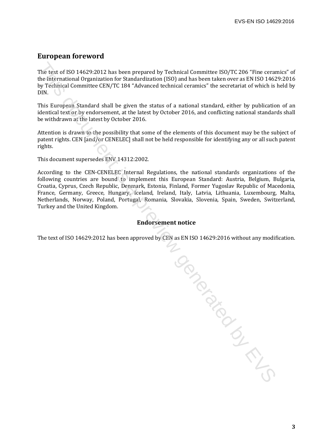## **European foreword**

The text of ISO 14629:2012 has been prepared by Technical Committee ISO/TC 206 "Fine ceramics" of the International Organization for Standardization (ISO) and has been taken over as EN ISO 14629:2016 by Technical Committee CEN/TC 184 "Advanced technical ceramics" the secretariat of which is held by DIN.

This European Standard shall be given the status of a national standard, either by publication of an identical text or by endorsement, at the latest by October 2016, and conflicting national standards shall be withdrawn at the latest by October 2016.

Attention is drawn to the possibility that some of the elements of this document may be the subject of patent rights. CEN [and/or CENELEC] shall not be held responsible for identifying any or all such patent rights.

This document supersedes ENV 14312:2002.

According to the CEN-CENELEC Internal Regulations, the national standards organizations of the following countries are bound to implement this European Standard: Austria, Belgium, Bulgaria, Croatia, Cyprus, Czech Republic, Denmark, Estonia, Finland, Former Yugoslav Republic of Macedonia, France, Germany, Greece, Hungary, Iceland, Ireland, Italy, Latvia, Lithuania, Luxembourg, Malta, Netherlands, Norway, Poland, Portugal, Romania, Slovakia, Slovenia, Spain, Sweden, Switzerland, Turkey and the United Kingdom.

## **Endorsement notice**

The text of ISO 14629:2012 has been approved by CEN as EN ISO 14629:2016 without any modification.

To donated by EVS